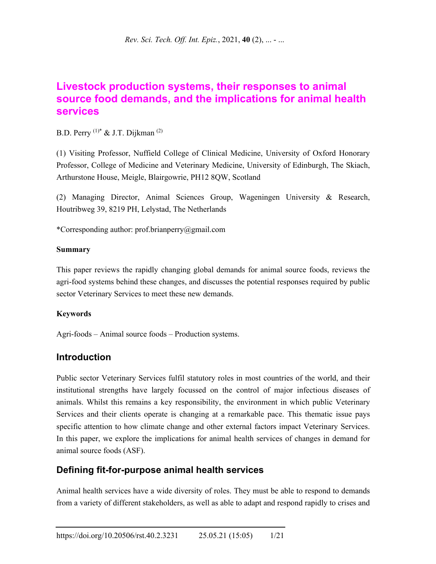# **Livestock production systems, their responses to animal source food demands, and the implications for animal health services**

B.D. Perry  $(1)^*$  & J.T. Dijkman  $(2)$ 

(1) Visiting Professor, Nuffield College of Clinical Medicine, University of Oxford Honorary Professor, College of Medicine and Veterinary Medicine, University of Edinburgh, The Skiach, Arthurstone House, Meigle, Blairgowrie, PH12 8QW, Scotland

(2) Managing Director, Animal Sciences Group, Wageningen University & Research, Houtribweg 39, 8219 PH, Lelystad, The Netherlands

\*Corresponding author: prof.brianperry@gmail.com

## **Summary**

This paper reviews the rapidly changing global demands for animal source foods, reviews the agri-food systems behind these changes, and discusses the potential responses required by public sector Veterinary Services to meet these new demands.

## **Keywords**

Agri-foods – Animal source foods – Production systems.

## **Introduction**

Public sector Veterinary Services fulfil statutory roles in most countries of the world, and their institutional strengths have largely focussed on the control of major infectious diseases of animals. Whilst this remains a key responsibility, the environment in which public Veterinary Services and their clients operate is changing at a remarkable pace. This thematic issue pays specific attention to how climate change and other external factors impact Veterinary Services. In this paper, we explore the implications for animal health services of changes in demand for animal source foods (ASF).

## **Defining fit-for-purpose animal health services**

Animal health services have a wide diversity of roles. They must be able to respond to demands from a variety of different stakeholders, as well as able to adapt and respond rapidly to crises and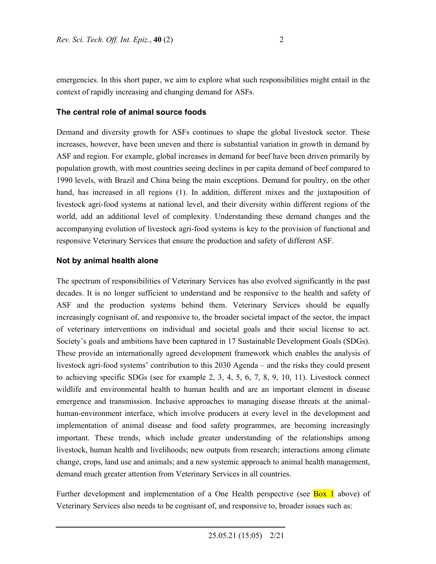emergencies. In this short paper, we aim to explore what such responsibilities might entail in the context of rapidly increasing and changing demand for ASFs.

#### **The central role of animal source foods**

Demand and diversity growth for ASFs continues to shape the global livestock sector. These increases, however, have been uneven and there is substantial variation in growth in demand by ASF and region. For example, global increases in demand for beef have been driven primarily by population growth, with most countries seeing declines in per capita demand of beef compared to 1990 levels, with Brazil and China being the main exceptions. Demand for poultry, on the other hand, has increased in all regions (1). In addition, different mixes and the juxtaposition of livestock agri-food systems at national level, and their diversity within different regions of the world, add an additional level of complexity. Understanding these demand changes and the accompanying evolution of livestock agri-food systems is key to the provision of functional and responsive Veterinary Services that ensure the production and safety of different ASF.

#### **Not by animal health alone**

The spectrum of responsibilities of Veterinary Services has also evolved significantly in the past decades. It is no longer sufficient to understand and be responsive to the health and safety of ASF and the production systems behind them. Veterinary Services should be equally increasingly cognisant of, and responsive to, the broader societal impact of the sector, the impact of veterinary interventions on individual and societal goals and their social license to act. Society's goals and ambitions have been captured in 17 Sustainable Development Goals (SDGs). These provide an internationally agreed development framework which enables the analysis of livestock agri-food systems' contribution to this 2030 Agenda – and the risks they could present to achieving specific SDGs (see for example 2, 3, 4, 5, 6, 7, 8, 9, 10, 11). Livestock connect wildlife and environmental health to human health and are an important element in disease emergence and transmission. Inclusive approaches to managing disease threats at the animalhuman-environment interface, which involve producers at every level in the development and implementation of animal disease and food safety programmes, are becoming increasingly important. These trends, which include greater understanding of the relationships among livestock, human health and livelihoods; new outputs from research; interactions among climate change, crops, land use and animals; and a new systemic approach to animal health management, demand much greater attention from Veterinary Services in all countries.

Further development and implementation of a One Health perspective (see **Box 1** above) of Veterinary Services also needs to be cognisant of, and responsive to, broader issues such as: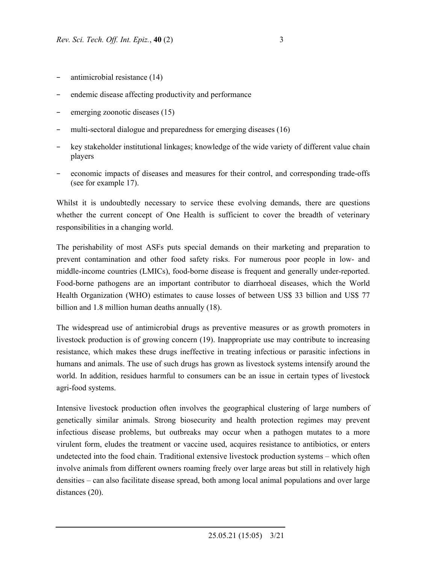- − antimicrobial resistance (14)
- endemic disease affecting productivity and performance
- emerging zoonotic diseases (15)
- multi-sectoral dialogue and preparedness for emerging diseases (16)
- key stakeholder institutional linkages; knowledge of the wide variety of different value chain players
- economic impacts of diseases and measures for their control, and corresponding trade-offs (see for example 17).

Whilst it is undoubtedly necessary to service these evolving demands, there are questions whether the current concept of One Health is sufficient to cover the breadth of veterinary responsibilities in a changing world.

The perishability of most ASFs puts special demands on their marketing and preparation to prevent contamination and other food safety risks. For numerous poor people in low- and middle-income countries (LMICs), food-borne disease is frequent and generally under-reported. Food-borne pathogens are an important contributor to diarrhoeal diseases, which the World Health Organization (WHO) estimates to cause losses of between US\$ 33 billion and US\$ 77 billion and 1.8 million human deaths annually (18).

The widespread use of antimicrobial drugs as preventive measures or as growth promoters in livestock production is of growing concern (19). Inappropriate use may contribute to increasing resistance, which makes these drugs ineffective in treating infectious or parasitic infections in humans and animals. The use of such drugs has grown as livestock systems intensify around the world. In addition, residues harmful to consumers can be an issue in certain types of livestock agri-food systems.

Intensive livestock production often involves the geographical clustering of large numbers of genetically similar animals. Strong biosecurity and health protection regimes may prevent infectious disease problems, but outbreaks may occur when a pathogen mutates to a more virulent form, eludes the treatment or vaccine used, acquires resistance to antibiotics, or enters undetected into the food chain. Traditional extensive livestock production systems – which often involve animals from different owners roaming freely over large areas but still in relatively high densities – can also facilitate disease spread, both among local animal populations and over large distances (20).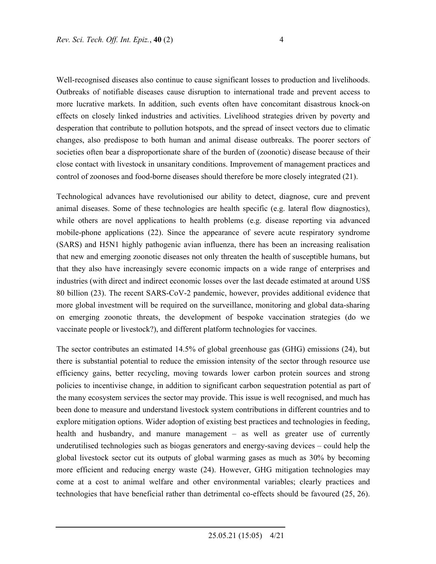Well-recognised diseases also continue to cause significant losses to production and livelihoods. Outbreaks of notifiable diseases cause disruption to international trade and prevent access to more lucrative markets. In addition, such events often have concomitant disastrous knock-on effects on closely linked industries and activities. Livelihood strategies driven by poverty and desperation that contribute to pollution hotspots, and the spread of insect vectors due to climatic changes, also predispose to both human and animal disease outbreaks. The poorer sectors of societies often bear a disproportionate share of the burden of (zoonotic) disease because of their close contact with livestock in unsanitary conditions. Improvement of management practices and control of zoonoses and food-borne diseases should therefore be more closely integrated (21).

Technological advances have revolutionised our ability to detect, diagnose, cure and prevent animal diseases. Some of these technologies are health specific (e.g. lateral flow diagnostics), while others are novel applications to health problems (e.g. disease reporting via advanced mobile-phone applications (22). Since the appearance of severe acute respiratory syndrome (SARS) and H5N1 highly pathogenic avian influenza, there has been an increasing realisation that new and emerging zoonotic diseases not only threaten the health of susceptible humans, but that they also have increasingly severe economic impacts on a wide range of enterprises and industries (with direct and indirect economic losses over the last decade estimated at around US\$ 80 billion (23). The recent SARS-CoV-2 pandemic, however, provides additional evidence that more global investment will be required on the surveillance, monitoring and global data-sharing on emerging zoonotic threats, the development of bespoke vaccination strategies (do we vaccinate people or livestock?), and different platform technologies for vaccines.

The sector contributes an estimated 14.5% of global greenhouse gas (GHG) emissions (24), but there is substantial potential to reduce the emission intensity of the sector through resource use efficiency gains, better recycling, moving towards lower carbon protein sources and strong policies to incentivise change, in addition to significant carbon sequestration potential as part of the many ecosystem services the sector may provide. This issue is well recognised, and much has been done to measure and understand livestock system contributions in different countries and to explore mitigation options. Wider adoption of existing best practices and technologies in feeding, health and husbandry, and manure management – as well as greater use of currently underutilised technologies such as biogas generators and energy-saving devices – could help the global livestock sector cut its outputs of global warming gases as much as 30% by becoming more efficient and reducing energy waste (24). However, GHG mitigation technologies may come at a cost to animal welfare and other environmental variables; clearly practices and technologies that have beneficial rather than detrimental co-effects should be favoured (25, 26).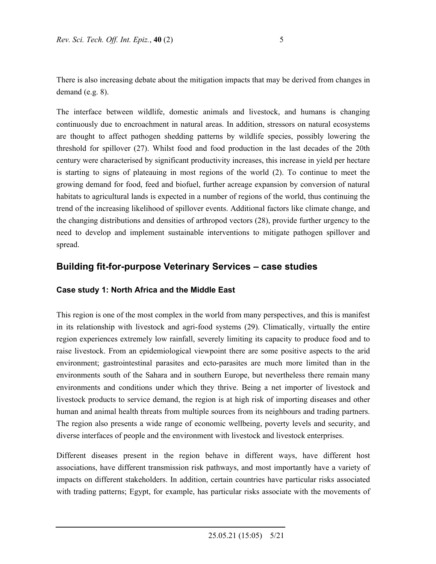There is also increasing debate about the mitigation impacts that may be derived from changes in demand (e.g. 8).

The interface between wildlife, domestic animals and livestock, and humans is changing continuously due to encroachment in natural areas. In addition, stressors on natural ecosystems are thought to affect pathogen shedding patterns by wildlife species, possibly lowering the threshold for spillover (27). Whilst food and food production in the last decades of the 20th century were characterised by significant productivity increases, this increase in yield per hectare is starting to signs of plateauing in most regions of the world (2). To continue to meet the growing demand for food, feed and biofuel, further acreage expansion by conversion of natural habitats to agricultural lands is expected in a number of regions of the world, thus continuing the trend of the increasing likelihood of spillover events. Additional factors like climate change, and the changing distributions and densities of arthropod vectors (28), provide further urgency to the need to develop and implement sustainable interventions to mitigate pathogen spillover and spread.

## **Building fit-for-purpose Veterinary Services – case studies**

## **Case study 1: North Africa and the Middle East**

This region is one of the most complex in the world from many perspectives, and this is manifest in its relationship with livestock and agri-food systems (29). Climatically, virtually the entire region experiences extremely low rainfall, severely limiting its capacity to produce food and to raise livestock. From an epidemiological viewpoint there are some positive aspects to the arid environment; gastrointestinal parasites and ecto-parasites are much more limited than in the environments south of the Sahara and in southern Europe, but nevertheless there remain many environments and conditions under which they thrive. Being a net importer of livestock and livestock products to service demand, the region is at high risk of importing diseases and other human and animal health threats from multiple sources from its neighbours and trading partners. The region also presents a wide range of economic wellbeing, poverty levels and security, and diverse interfaces of people and the environment with livestock and livestock enterprises.

Different diseases present in the region behave in different ways, have different host associations, have different transmission risk pathways, and most importantly have a variety of impacts on different stakeholders. In addition, certain countries have particular risks associated with trading patterns; Egypt, for example, has particular risks associate with the movements of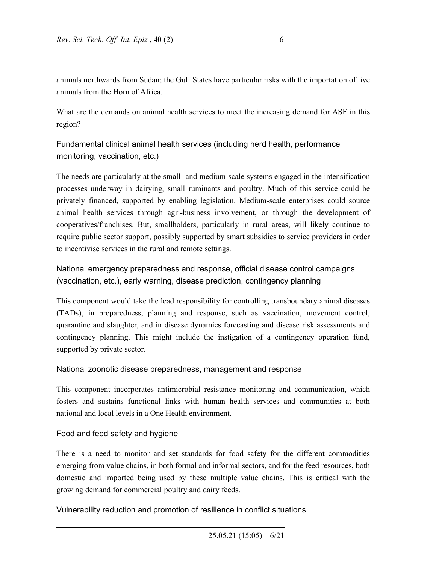animals northwards from Sudan; the Gulf States have particular risks with the importation of live animals from the Horn of Africa.

What are the demands on animal health services to meet the increasing demand for ASF in this region?

Fundamental clinical animal health services (including herd health, performance monitoring, vaccination, etc.)

The needs are particularly at the small- and medium-scale systems engaged in the intensification processes underway in dairying, small ruminants and poultry. Much of this service could be privately financed, supported by enabling legislation. Medium-scale enterprises could source animal health services through agri-business involvement, or through the development of cooperatives/franchises. But, smallholders, particularly in rural areas, will likely continue to require public sector support, possibly supported by smart subsidies to service providers in order to incentivise services in the rural and remote settings.

National emergency preparedness and response, official disease control campaigns (vaccination, etc.), early warning, disease prediction, contingency planning

This component would take the lead responsibility for controlling transboundary animal diseases (TADs), in preparedness, planning and response, such as vaccination, movement control, quarantine and slaughter, and in disease dynamics forecasting and disease risk assessments and contingency planning. This might include the instigation of a contingency operation fund, supported by private sector.

## National zoonotic disease preparedness, management and response

This component incorporates antimicrobial resistance monitoring and communication, which fosters and sustains functional links with human health services and communities at both national and local levels in a One Health environment.

## Food and feed safety and hygiene

There is a need to monitor and set standards for food safety for the different commodities emerging from value chains, in both formal and informal sectors, and for the feed resources, both domestic and imported being used by these multiple value chains. This is critical with the growing demand for commercial poultry and dairy feeds.

Vulnerability reduction and promotion of resilience in conflict situations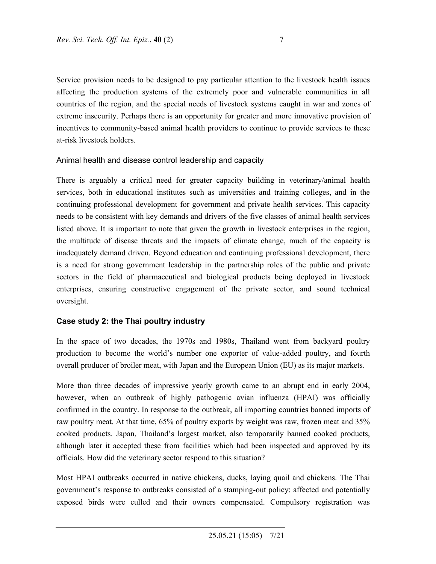Service provision needs to be designed to pay particular attention to the livestock health issues affecting the production systems of the extremely poor and vulnerable communities in all countries of the region, and the special needs of livestock systems caught in war and zones of extreme insecurity. Perhaps there is an opportunity for greater and more innovative provision of incentives to community-based animal health providers to continue to provide services to these at-risk livestock holders.

## Animal health and disease control leadership and capacity

There is arguably a critical need for greater capacity building in veterinary/animal health services, both in educational institutes such as universities and training colleges, and in the continuing professional development for government and private health services. This capacity needs to be consistent with key demands and drivers of the five classes of animal health services listed above. It is important to note that given the growth in livestock enterprises in the region, the multitude of disease threats and the impacts of climate change, much of the capacity is inadequately demand driven. Beyond education and continuing professional development, there is a need for strong government leadership in the partnership roles of the public and private sectors in the field of pharmaceutical and biological products being deployed in livestock enterprises, ensuring constructive engagement of the private sector, and sound technical oversight.

## **Case study 2: the Thai poultry industry**

In the space of two decades, the 1970s and 1980s, Thailand went from backyard poultry production to become the world's number one exporter of value-added poultry, and fourth overall producer of broiler meat, with Japan and the European Union (EU) as its major markets.

More than three decades of impressive yearly growth came to an abrupt end in early 2004, however, when an outbreak of highly pathogenic avian influenza (HPAI) was officially confirmed in the country. In response to the outbreak, all importing countries banned imports of raw poultry meat. At that time, 65% of poultry exports by weight was raw, frozen meat and 35% cooked products. Japan, Thailand's largest market, also temporarily banned cooked products, although later it accepted these from facilities which had been inspected and approved by its officials. How did the veterinary sector respond to this situation?

Most HPAI outbreaks occurred in native chickens, ducks, laying quail and chickens. The Thai government's response to outbreaks consisted of a stamping-out policy: affected and potentially exposed birds were culled and their owners compensated. Compulsory registration was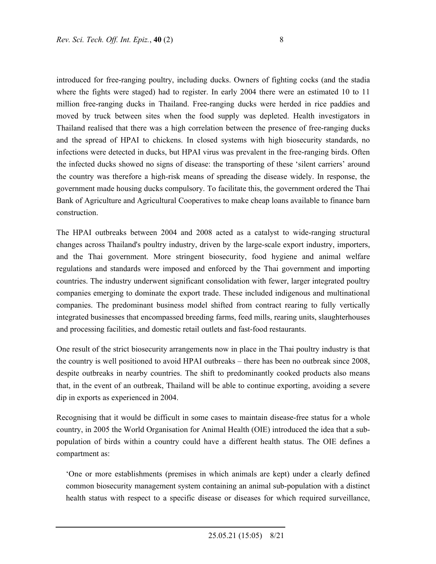introduced for free-ranging poultry, including ducks. Owners of fighting cocks (and the stadia where the fights were staged) had to register. In early 2004 there were an estimated 10 to 11 million free-ranging ducks in Thailand. Free-ranging ducks were herded in rice paddies and moved by truck between sites when the food supply was depleted. Health investigators in Thailand realised that there was a high correlation between the presence of free-ranging ducks and the spread of HPAI to chickens. In closed systems with high biosecurity standards, no infections were detected in ducks, but HPAI virus was prevalent in the free-ranging birds. Often the infected ducks showed no signs of disease: the transporting of these 'silent carriers' around the country was therefore a high-risk means of spreading the disease widely. In response, the government made housing ducks compulsory. To facilitate this, the government ordered the Thai Bank of Agriculture and Agricultural Cooperatives to make cheap loans available to finance barn construction.

The HPAI outbreaks between 2004 and 2008 acted as a catalyst to wide-ranging structural changes across Thailand's poultry industry, driven by the large-scale export industry, importers, and the Thai government. More stringent biosecurity, food hygiene and animal welfare regulations and standards were imposed and enforced by the Thai government and importing countries. The industry underwent significant consolidation with fewer, larger integrated poultry companies emerging to dominate the export trade. These included indigenous and multinational companies. The predominant business model shifted from contract rearing to fully vertically integrated businesses that encompassed breeding farms, feed mills, rearing units, slaughterhouses and processing facilities, and domestic retail outlets and fast-food restaurants.

One result of the strict biosecurity arrangements now in place in the Thai poultry industry is that the country is well positioned to avoid HPAI outbreaks – there has been no outbreak since 2008, despite outbreaks in nearby countries. The shift to predominantly cooked products also means that, in the event of an outbreak, Thailand will be able to continue exporting, avoiding a severe dip in exports as experienced in 2004.

Recognising that it would be difficult in some cases to maintain disease-free status for a whole country, in 2005 the World Organisation for Animal Health (OIE) introduced the idea that a subpopulation of birds within a country could have a different health status. The OIE defines a compartment as:

'One or more establishments (premises in which animals are kept) under a clearly defined common biosecurity management system containing an animal sub-population with a distinct health status with respect to a specific disease or diseases for which required surveillance,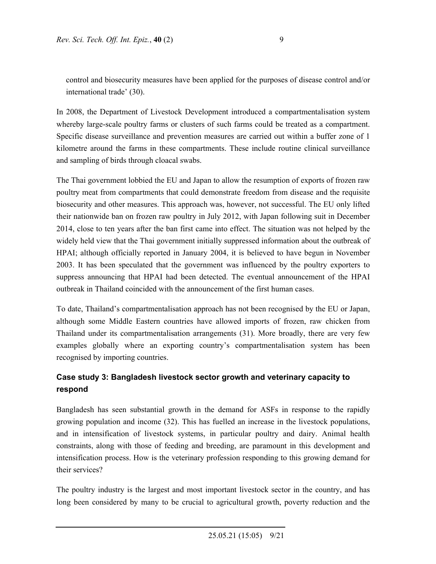control and biosecurity measures have been applied for the purposes of disease control and/or international trade' (30).

In 2008, the Department of Livestock Development introduced a compartmentalisation system whereby large-scale poultry farms or clusters of such farms could be treated as a compartment. Specific disease surveillance and prevention measures are carried out within a buffer zone of 1 kilometre around the farms in these compartments. These include routine clinical surveillance and sampling of birds through cloacal swabs.

The Thai government lobbied the EU and Japan to allow the resumption of exports of frozen raw poultry meat from compartments that could demonstrate freedom from disease and the requisite biosecurity and other measures. This approach was, however, not successful. The EU only lifted their nationwide ban on frozen raw poultry in July 2012, with Japan following suit in December 2014, close to ten years after the ban first came into effect. The situation was not helped by the widely held view that the Thai government initially suppressed information about the outbreak of HPAI; although officially reported in January 2004, it is believed to have begun in November 2003. It has been speculated that the government was influenced by the poultry exporters to suppress announcing that HPAI had been detected. The eventual announcement of the HPAI outbreak in Thailand coincided with the announcement of the first human cases.

To date, Thailand's compartmentalisation approach has not been recognised by the EU or Japan, although some Middle Eastern countries have allowed imports of frozen, raw chicken from Thailand under its compartmentalisation arrangements (31). More broadly, there are very few examples globally where an exporting country's compartmentalisation system has been recognised by importing countries.

## **Case study 3: Bangladesh livestock sector growth and veterinary capacity to respond**

Bangladesh has seen substantial growth in the demand for ASFs in response to the rapidly growing population and income (32). This has fuelled an increase in the livestock populations, and in intensification of livestock systems, in particular poultry and dairy. Animal health constraints, along with those of feeding and breeding, are paramount in this development and intensification process. How is the veterinary profession responding to this growing demand for their services?

The poultry industry is the largest and most important livestock sector in the country, and has long been considered by many to be crucial to agricultural growth, poverty reduction and the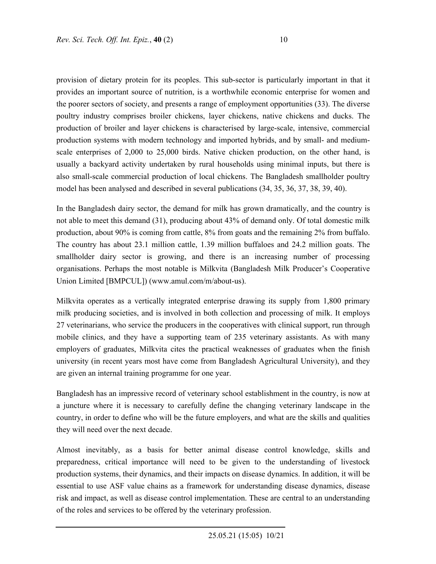provision of dietary protein for its peoples. This sub-sector is particularly important in that it provides an important source of nutrition, is a worthwhile economic enterprise for women and the poorer sectors of society, and presents a range of employment opportunities (33). The diverse poultry industry comprises broiler chickens, layer chickens, native chickens and ducks. The production of broiler and layer chickens is characterised by large-scale, intensive, commercial production systems with modern technology and imported hybrids, and by small- and mediumscale enterprises of 2,000 to 25,000 birds. Native chicken production, on the other hand, is usually a backyard activity undertaken by rural households using minimal inputs, but there is also small-scale commercial production of local chickens. The Bangladesh smallholder poultry model has been analysed and described in several publications (34, 35, 36, 37, 38, 39, 40).

In the Bangladesh dairy sector, the demand for milk has grown dramatically, and the country is not able to meet this demand (31), producing about 43% of demand only. Of total domestic milk production, about 90% is coming from cattle, 8% from goats and the remaining 2% from buffalo. The country has about 23.1 million cattle, 1.39 million buffaloes and 24.2 million goats. The smallholder dairy sector is growing, and there is an increasing number of processing organisations. Perhaps the most notable is Milkvita (Bangladesh Milk Producer's Cooperative Union Limited [BMPCUL]) (www.amul.com/m/about-us).

Milkvita operates as a vertically integrated enterprise drawing its supply from 1,800 primary milk producing societies, and is involved in both collection and processing of milk. It employs 27 veterinarians, who service the producers in the cooperatives with clinical support, run through mobile clinics, and they have a supporting team of 235 veterinary assistants. As with many employers of graduates, Milkvita cites the practical weaknesses of graduates when the finish university (in recent years most have come from Bangladesh Agricultural University), and they are given an internal training programme for one year.

Bangladesh has an impressive record of veterinary school establishment in the country, is now at a juncture where it is necessary to carefully define the changing veterinary landscape in the country, in order to define who will be the future employers, and what are the skills and qualities they will need over the next decade.

Almost inevitably, as a basis for better animal disease control knowledge, skills and preparedness, critical importance will need to be given to the understanding of livestock production systems, their dynamics, and their impacts on disease dynamics. In addition, it will be essential to use ASF value chains as a framework for understanding disease dynamics, disease risk and impact, as well as disease control implementation. These are central to an understanding of the roles and services to be offered by the veterinary profession.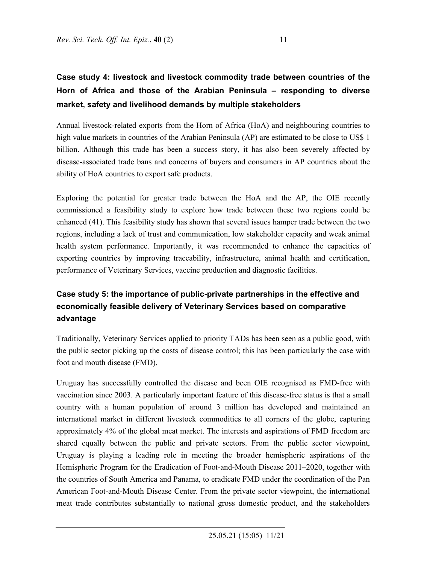# **Case study 4: livestock and livestock commodity trade between countries of the Horn of Africa and those of the Arabian Peninsula – responding to diverse market, safety and livelihood demands by multiple stakeholders**

Annual livestock-related exports from the Horn of Africa (HoA) and neighbouring countries to high value markets in countries of the Arabian Peninsula (AP) are estimated to be close to US\$ 1 billion. Although this trade has been a success story, it has also been severely affected by disease-associated trade bans and concerns of buyers and consumers in AP countries about the ability of HoA countries to export safe products.

Exploring the potential for greater trade between the HoA and the AP, the OIE recently commissioned a feasibility study to explore how trade between these two regions could be enhanced (41). This feasibility study has shown that several issues hamper trade between the two regions, including a lack of trust and communication, low stakeholder capacity and weak animal health system performance. Importantly, it was recommended to enhance the capacities of exporting countries by improving traceability, infrastructure, animal health and certification, performance of Veterinary Services, vaccine production and diagnostic facilities.

# **Case study 5: the importance of public-private partnerships in the effective and economically feasible delivery of Veterinary Services based on comparative advantage**

Traditionally, Veterinary Services applied to priority TADs has been seen as a public good, with the public sector picking up the costs of disease control; this has been particularly the case with foot and mouth disease (FMD).

Uruguay has successfully controlled the disease and been OIE recognised as FMD-free with vaccination since 2003. A particularly important feature of this disease-free status is that a small country with a human population of around 3 million has developed and maintained an international market in different livestock commodities to all corners of the globe, capturing approximately 4% of the global meat market. The interests and aspirations of FMD freedom are shared equally between the public and private sectors. From the public sector viewpoint, Uruguay is playing a leading role in meeting the broader hemispheric aspirations of the Hemispheric Program for the Eradication of Foot-and-Mouth Disease 2011–2020, together with the countries of South America and Panama, to eradicate FMD under the coordination of the Pan American Foot-and-Mouth Disease Center. From the private sector viewpoint, the international meat trade contributes substantially to national gross domestic product, and the stakeholders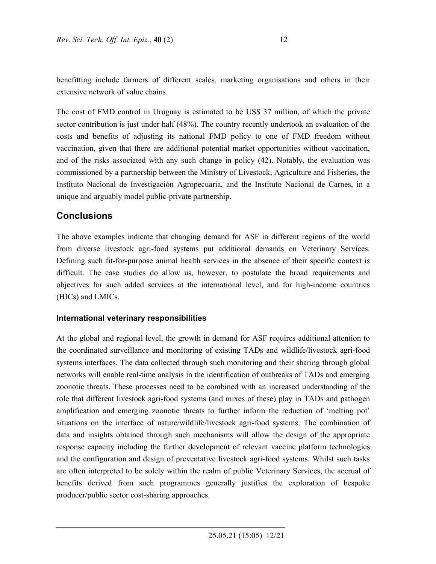benefitting include farmers of different scales, marketing organisations and others in their extensive network of value chains.

The cost of FMD control in Uruguay is estimated to be US\$ 37 million, of which the private sector contribution is just under half (48%). The country recently undertook an evaluation of the costs and benefits of adjusting its national FMD policy to one of FMD freedom without vaccination, given that there are additional potential market opportunities without vaccination, and of the risks associated with any such change in policy (42). Notably, the evaluation was commissioned by a partnership between the Ministry of Livestock, Agriculture and Fisheries, the Instituto Nacional de Investigación Agropecuaria, and the Instituto Nacional de Carnes, in a unique and arguably model public-private partnership.

## **Conclusions**

The above examples indicate that changing demand for ASF in different regions of the world from diverse livestock agri-food systems put additional demands on Veterinary Services. Defining such fit-for-purpose animal health services in the absence of their specific context is difficult. The case studies do allow us, however, to postulate the broad requirements and objectives for such added services at the international level, and for high-income countries (HICs) and LMICs.

#### **International veterinary responsibilities**

At the global and regional level, the growth in demand for ASF requires additional attention to the coordinated surveillance and monitoring of existing TADs and wildlife/livestock agri-food systems interfaces. The data collected through such monitoring and their sharing through global networks will enable real-time analysis in the identification of outbreaks of TADs and emerging zoonotic threats. These processes need to be combined with an increased understanding of the role that different livestock agri-food systems (and mixes of these) play in TADs and pathogen amplification and emerging zoonotic threats to further inform the reduction of 'melting pot' situations on the interface of nature/wildlife/livestock agri-food systems. The combination of data and insights obtained through such mechanisms will allow the design of the appropriate response capacity including the further development of relevant vaccine platform technologies and the configuration and design of preventative livestock agri-food systems. Whilst such tasks are often interpreted to be solely within the realm of public Veterinary Services, the accrual of benefits derived from such programmes generally justifies the exploration of bespoke producer/public sector cost-sharing approaches.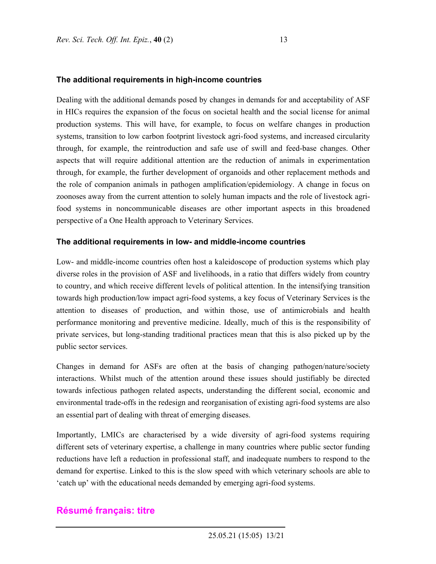# **The additional requirements in high-income countries**

Dealing with the additional demands posed by changes in demands for and acceptability of ASF in HICs requires the expansion of the focus on societal health and the social license for animal production systems. This will have, for example, to focus on welfare changes in production systems, transition to low carbon footprint livestock agri-food systems, and increased circularity through, for example, the reintroduction and safe use of swill and feed-base changes. Other aspects that will require additional attention are the reduction of animals in experimentation through, for example, the further development of organoids and other replacement methods and the role of companion animals in pathogen amplification/epidemiology. A change in focus on zoonoses away from the current attention to solely human impacts and the role of livestock agrifood systems in noncommunicable diseases are other important aspects in this broadened perspective of a One Health approach to Veterinary Services.

#### **The additional requirements in low- and middle-income countries**

Low- and middle-income countries often host a kaleidoscope of production systems which play diverse roles in the provision of ASF and livelihoods, in a ratio that differs widely from country to country, and which receive different levels of political attention. In the intensifying transition towards high production/low impact agri-food systems, a key focus of Veterinary Services is the attention to diseases of production, and within those, use of antimicrobials and health performance monitoring and preventive medicine. Ideally, much of this is the responsibility of private services, but long-standing traditional practices mean that this is also picked up by the public sector services.

Changes in demand for ASFs are often at the basis of changing pathogen/nature/society interactions. Whilst much of the attention around these issues should justifiably be directed towards infectious pathogen related aspects, understanding the different social, economic and environmental trade-offs in the redesign and reorganisation of existing agri-food systems are also an essential part of dealing with threat of emerging diseases.

Importantly, LMICs are characterised by a wide diversity of agri-food systems requiring different sets of veterinary expertise, a challenge in many countries where public sector funding reductions have left a reduction in professional staff, and inadequate numbers to respond to the demand for expertise. Linked to this is the slow speed with which veterinary schools are able to 'catch up' with the educational needs demanded by emerging agri-food systems.

## **Résumé français: titre**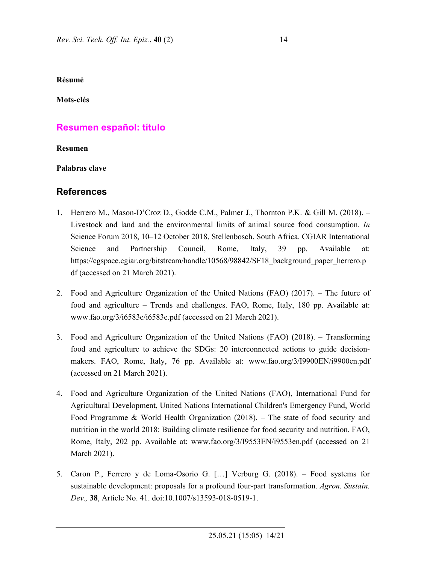**Résumé** 

**Mots-clés** 

## **Resumen español: título**

**Resumen** 

**Palabras clave** 

## **References**

- 1. Herrero M., Mason-D'Croz D., Godde C.M., Palmer J., Thornton P.K. & Gill M. (2018). Livestock and land and the environmental limits of animal source food consumption. *In* Science Forum 2018, 10–12 October 2018, Stellenbosch, South Africa. CGIAR International Science and Partnership Council, Rome, Italy, 39 pp. Available at: https://cgspace.cgiar.org/bitstream/handle/10568/98842/SF18\_background\_paper\_herrero.p df (accessed on 21 March 2021).
- 2. Food and Agriculture Organization of the United Nations (FAO) (2017). The future of food and agriculture – Trends and challenges. FAO, Rome, Italy, 180 pp. Available at: www.fao.org/3/i6583e/i6583e.pdf (accessed on 21 March 2021).
- 3. Food and Agriculture Organization of the United Nations (FAO) (2018). Transforming food and agriculture to achieve the SDGs: 20 interconnected actions to guide decisionmakers. FAO, Rome, Italy, 76 pp. Available at: www.fao.org/3/I9900EN/i9900en.pdf (accessed on 21 March 2021).
- 4. Food and Agriculture Organization of the United Nations (FAO), International Fund for Agricultural Development, United Nations International Children's Emergency Fund, World Food Programme & World Health Organization (2018). – The state of food security and nutrition in the world 2018: Building climate resilience for food security and nutrition. FAO, Rome, Italy, 202 pp. Available at: www.fao.org/3/I9553EN/i9553en.pdf (accessed on 21 March 2021).
- 5. Caron P., Ferrero y de Loma-Osorio G. […] Verburg G. (2018). Food systems for sustainable development: proposals for a profound four-part transformation. *Agron. Sustain. Dev.,* **38**, Article No. 41. doi:10.1007/s13593-018-0519-1.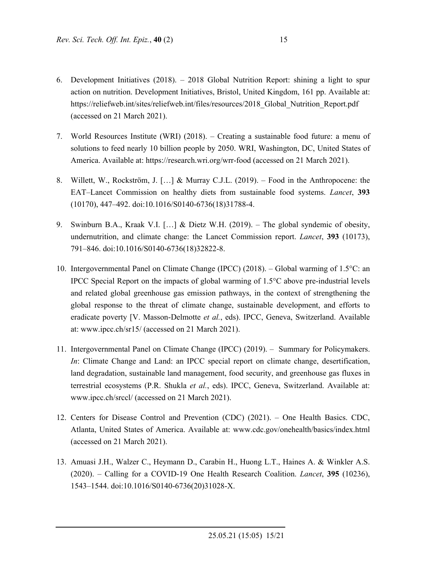- 6. Development Initiatives (2018). 2018 Global Nutrition Report: shining a light to spur action on nutrition. Development Initiatives, Bristol, United Kingdom, 161 pp. Available at: https://reliefweb.int/sites/reliefweb.int/files/resources/2018 Global Nutrition Report.pdf (accessed on 21 March 2021).
- 7. World Resources Institute (WRI) (2018). Creating a sustainable food future: a menu of solutions to feed nearly 10 billion people by 2050. WRI, Washington, DC, United States of America. Available at: https://research.wri.org/wrr-food (accessed on 21 March 2021).
- 8. Willett, W., Rockström, J. […] & Murray C.J.L. (2019). Food in the Anthropocene: the EAT–Lancet Commission on healthy diets from sustainable food systems. *Lancet*, **393** (10170), 447–492. doi:10.1016/S0140-6736(18)31788-4.
- 9. Swinburn B.A., Kraak V.I. […] & Dietz W.H. (2019). The global syndemic of obesity, undernutrition, and climate change: the Lancet Commission report. *Lancet*, **393** (10173), 791–846. doi:10.1016/S0140-6736(18)32822-8.
- 10. Intergovernmental Panel on Climate Change (IPCC) (2018). Global warming of 1.5°C: an IPCC Special Report on the impacts of global warming of 1.5°C above pre-industrial levels and related global greenhouse gas emission pathways, in the context of strengthening the global response to the threat of climate change, sustainable development, and efforts to eradicate poverty [V. Masson-Delmotte *et al.*, eds). IPCC, Geneva, Switzerland. Available at: www.ipcc.ch/sr15/ (accessed on 21 March 2021).
- 11. Intergovernmental Panel on Climate Change (IPCC) (2019). Summary for Policymakers. *In*: Climate Change and Land: an IPCC special report on climate change, desertification, land degradation, sustainable land management, food security, and greenhouse gas fluxes in terrestrial ecosystems (P.R. Shukla *et al.*, eds). IPCC, Geneva, Switzerland. Available at: www.ipcc.ch/srccl/ (accessed on 21 March 2021).
- 12. Centers for Disease Control and Prevention (CDC) (2021). One Health Basics. CDC, Atlanta, United States of America. Available at: www.cdc.gov/onehealth/basics/index.html (accessed on 21 March 2021).
- 13. Amuasi J.H., Walzer C., Heymann D., Carabin H., Huong L.T., Haines A. & Winkler A.S. (2020). – Calling for a COVID-19 One Health Research Coalition. *Lancet*, **395** (10236), 1543–1544. doi:10.1016/S0140-6736(20)31028-X.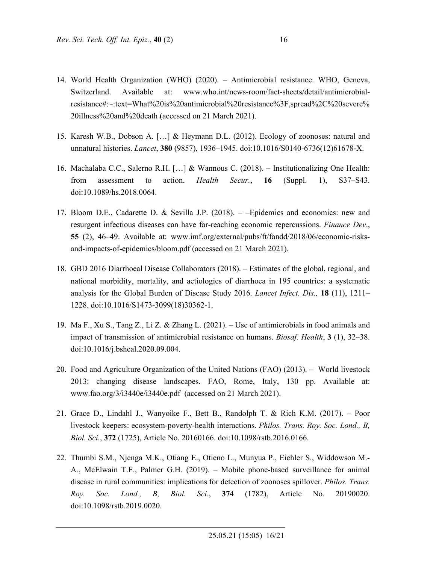- 14. World Health Organization (WHO) (2020). Antimicrobial resistance. WHO, Geneva, Switzerland. Available at: www.who.int/news-room/fact-sheets/detail/antimicrobialresistance#:~:text=What%20is%20antimicrobial%20resistance%3F,spread%2C%20severe% 20illness%20and%20death (accessed on 21 March 2021).
- 15. Karesh W.B., Dobson A. […] & Heymann D.L. (2012). Ecology of zoonoses: natural and unnatural histories. *Lancet*, **380** (9857), 1936–1945. doi:10.1016/S0140-6736(12)61678-X.
- 16. Machalaba C.C., Salerno R.H. […] & Wannous C. (2018). Institutionalizing One Health: from assessment to action. *Health Secur.*, **16** (Suppl. 1), S37–S43. doi:10.1089/hs.2018.0064.
- 17. Bloom D.E., Cadarette D. & Sevilla J.P. (2018). –Epidemics and economics: new and resurgent infectious diseases can have far-reaching economic repercussions. *Finance Dev*., **55** (2), 46–49. Available at: www.imf.org/external/pubs/ft/fandd/2018/06/economic-risksand-impacts-of-epidemics/bloom.pdf (accessed on 21 March 2021).
- 18. GBD 2016 Diarrhoeal Disease Collaborators (2018). Estimates of the global, regional, and national morbidity, mortality, and aetiologies of diarrhoea in 195 countries: a systematic analysis for the Global Burden of Disease Study 2016. *Lancet Infect. Dis.,* **18** (11), 1211– 1228. doi:10.1016/S1473-3099(18)30362-1.
- 19. Ma F., Xu S., Tang Z., Li Z. & Zhang L. (2021). Use of antimicrobials in food animals and impact of transmission of antimicrobial resistance on humans. *Biosaf. Health*, **3** (1), 32–38. doi:10.1016/j.bsheal.2020.09.004.
- 20. Food and Agriculture Organization of the United Nations (FAO) (2013). World livestock 2013: changing disease landscapes. FAO, Rome, Italy, 130 pp. Available at: www.fao.org/3/i3440e/i3440e.pdf (accessed on 21 March 2021).
- 21. Grace D., Lindahl J., Wanyoike F., Bett B., Randolph T. & Rich K.M. (2017). Poor livestock keepers: ecosystem-poverty-health interactions. *Philos. Trans. Roy. Soc. Lond., B, Biol. Sci.*, **372** (1725), Article No. 20160166. doi:10.1098/rstb.2016.0166.
- 22. Thumbi S.M., Njenga M.K., Otiang E., Otieno L., Munyua P., Eichler S., Widdowson M.- A., McElwain T.F., Palmer G.H. (2019). – Mobile phone-based surveillance for animal disease in rural communities: implications for detection of zoonoses spillover. *Philos. Trans. Roy. Soc. Lond., B, Biol. Sci.*, **374** (1782), Article No. 20190020. doi:10.1098/rstb.2019.0020.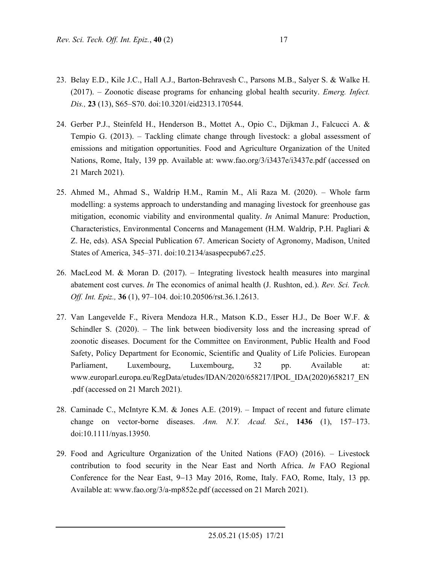- 23. Belay E.D., Kile J.C., Hall A.J., Barton-Behravesh C., Parsons M.B., Salyer S. & Walke H. (2017). – Zoonotic disease programs for enhancing global health security. *Emerg. Infect. Dis.,* **23** (13), S65–S70. doi:10.3201/eid2313.170544.
- 24. Gerber P.J., Steinfeld H., Henderson B., Mottet A., Opio C., Dijkman J., Falcucci A. & Tempio G. (2013). – Tackling climate change through livestock: a global assessment of emissions and mitigation opportunities. Food and Agriculture Organization of the United Nations, Rome, Italy, 139 pp. Available at: www.fao.org/3/i3437e/i3437e.pdf (accessed on 21 March 2021).
- 25. Ahmed M., Ahmad S., Waldrip H.M., Ramin M., Ali Raza M. (2020). Whole farm modelling: a systems approach to understanding and managing livestock for greenhouse gas mitigation, economic viability and environmental quality. *In* Animal Manure: Production, Characteristics, Environmental Concerns and Management (H.M. Waldrip, P.H. Pagliari & Z. He, eds). ASA Special Publication 67. American Society of Agronomy, Madison, United States of America, 345–371. doi:10.2134/asaspecpub67.c25.
- 26. MacLeod M. & Moran D. (2017). Integrating livestock health measures into marginal abatement cost curves. *In* The economics of animal health (J. Rushton, ed.). *Rev. Sci. Tech. Off. Int. Epiz.,* **36** (1), 97–104. doi:10.20506/rst.36.1.2613.
- 27. Van Langevelde F., Rivera Mendoza H.R., Matson K.D., Esser H.J., De Boer W.F. & Schindler S. (2020). – The link between biodiversity loss and the increasing spread of zoonotic diseases. Document for the Committee on Environment, Public Health and Food Safety, Policy Department for Economic, Scientific and Quality of Life Policies. European Parliament, Luxembourg, Luxembourg, 32 pp. Available at: www.europarl.europa.eu/RegData/etudes/IDAN/2020/658217/IPOL\_IDA(2020)658217\_EN .pdf (accessed on 21 March 2021).
- 28. Caminade C., McIntyre K.M. & Jones A.E. (2019). Impact of recent and future climate change on vector‐borne diseases. *Ann. N.Y. Acad. Sci.*, **1436** (1), 157–173. doi:10.1111/nyas.13950.
- 29. Food and Agriculture Organization of the United Nations (FAO) (2016). Livestock contribution to food security in the Near East and North Africa. *In* FAO Regional Conference for the Near East, 9-13 May 2016, Rome, Italy. FAO, Rome, Italy, 13 pp. Available at: www.fao.org/3/a-mp852e.pdf (accessed on 21 March 2021).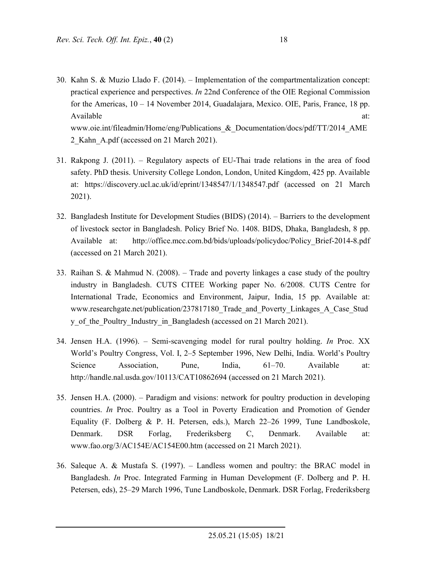- 30. Kahn S. & Muzio Llado F. (2014). Implementation of the compartmentalization concept: practical experience and perspectives. *In* 22nd Conference of the OIE Regional Commission for the Americas, 10 – 14 November 2014, Guadalajara, Mexico. OIE, Paris, France, 18 pp. Available at:  $\alpha$ www.oie.int/fileadmin/Home/eng/Publications\_&\_Documentation/docs/pdf/TT/2014\_AME 2\_Kahn\_A.pdf (accessed on 21 March 2021).
- 31. Rakpong J. (2011). Regulatory aspects of EU-Thai trade relations in the area of food safety. PhD thesis. University College London, London, United Kingdom, 425 pp. Available at: https://discovery.ucl.ac.uk/id/eprint/1348547/1/1348547.pdf (accessed on 21 March 2021).
- 32. Bangladesh Institute for Development Studies (BIDS) (2014). Barriers to the development of livestock sector in Bangladesh. Policy Brief No. 1408. BIDS, Dhaka, Bangladesh, 8 pp. Available at: http://office.mcc.com.bd/bids/uploads/policydoc/Policy\_Brief-2014-8.pdf (accessed on 21 March 2021).
- 33. Raihan S. & Mahmud N. (2008). Trade and poverty linkages a case study of the poultry industry in Bangladesh. CUTS CITEE Working paper No. 6/2008. CUTS Centre for International Trade, Economics and Environment, Jaipur, India, 15 pp. Available at: www.researchgate.net/publication/237817180 Trade and Poverty Linkages A Case Stud y of the Poultry Industry in Bangladesh (accessed on 21 March 2021).
- 34. Jensen H.A. (1996). Semi-scavenging model for rural poultry holding. *In* Proc. XX World's Poultry Congress, Vol. I, 2–5 September 1996, New Delhi, India. World's Poultry Science Association, Pune, India, 61–70. Available at: http://handle.nal.usda.gov/10113/CAT10862694 (accessed on 21 March 2021).
- 35. Jensen H.A. (2000). Paradigm and visions: network for poultry production in developing countries. *In* Proc. Poultry as a Tool in Poverty Eradication and Promotion of Gender Equality (F. Dolberg & P. H. Petersen, eds.), March 22–26 1999, Tune Landboskole, Denmark. DSR Forlag, Frederiksberg C, Denmark. Available at: www.fao.org/3/AC154E/AC154E00.htm (accessed on 21 March 2021).
- 36. Saleque A. & Mustafa S. (1997). Landless women and poultry: the BRAC model in Bangladesh. *In* Proc. Integrated Farming in Human Development (F. Dolberg and P. H. Petersen, eds), 25–29 March 1996, Tune Landboskole, Denmark. DSR Forlag, Frederiksberg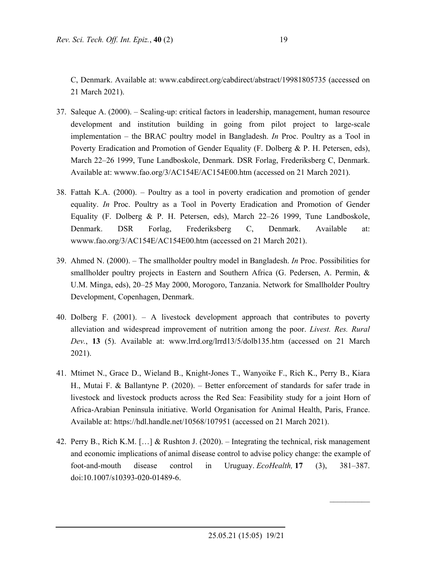C, Denmark. Available at: www.cabdirect.org/cabdirect/abstract/19981805735 (accessed on 21 March 2021).

- 37. Saleque A. (2000). Scaling-up: critical factors in leadership, management, human resource development and institution building in going from pilot project to large-scale implementation – the BRAC poultry model in Bangladesh. *In* Proc. Poultry as a Tool in Poverty Eradication and Promotion of Gender Equality (F. Dolberg & P. H. Petersen, eds), March 22–26 1999, Tune Landboskole, Denmark. DSR Forlag, Frederiksberg C, Denmark. Available at: wwww.fao.org/3/AC154E/AC154E00.htm (accessed on 21 March 2021).
- 38. Fattah K.A. (2000). Poultry as a tool in poverty eradication and promotion of gender equality. *In* Proc. Poultry as a Tool in Poverty Eradication and Promotion of Gender Equality (F. Dolberg & P. H. Petersen, eds), March 22–26 1999, Tune Landboskole, Denmark. DSR Forlag, Frederiksberg C, Denmark. Available at: wwww.fao.org/3/AC154E/AC154E00.htm (accessed on 21 March 2021).
- 39. Ahmed N. (2000). The smallholder poultry model in Bangladesh. *In* Proc. Possibilities for smallholder poultry projects in Eastern and Southern Africa (G. Pedersen, A. Permin, & U.M. Minga, eds), 20–25 May 2000, Morogoro, Tanzania. Network for Smallholder Poultry Development, Copenhagen, Denmark.
- 40. Dolberg F. (2001). A livestock development approach that contributes to poverty alleviation and widespread improvement of nutrition among the poor. *Livest. Res. Rural Dev.*, **13** (5). Available at: www.lrrd.org/lrrd13/5/dolb135.htm (accessed on 21 March 2021).
- 41. Mtimet N., Grace D., Wieland B., Knight-Jones T., Wanyoike F., Rich K., Perry B., Kiara H., Mutai F. & Ballantyne P. (2020). – Better enforcement of standards for safer trade in livestock and livestock products across the Red Sea: Feasibility study for a joint Horn of Africa-Arabian Peninsula initiative. World Organisation for Animal Health, Paris, France. Available at: https://hdl.handle.net/10568/107951 (accessed on 21 March 2021).
- 42. Perry B., Rich K.M. […] & Rushton J. (2020). Integrating the technical, risk management and economic implications of animal disease control to advise policy change: the example of foot-and-mouth disease control in Uruguay. *EcoHealth,* **17** (3), 381–387. doi:10.1007/s10393-020-01489-6.

 $\mathcal{L}_\text{max}$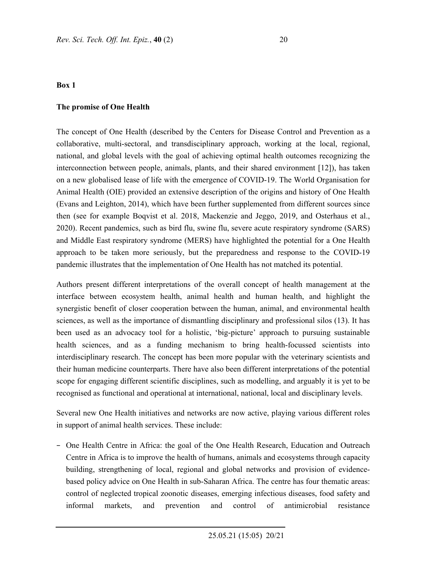#### **Box 1**

#### **The promise of One Health**

The concept of One Health (described by the Centers for Disease Control and Prevention as a collaborative, multi-sectoral, and transdisciplinary approach, working at the local, regional, national, and global levels with the goal of achieving optimal health outcomes recognizing the interconnection between people, animals, plants, and their shared environment [12]), has taken on a new globalised lease of life with the emergence of COVID-19. The World Organisation for Animal Health (OIE) provided an extensive description of the origins and history of One Health (Evans and Leighton, 2014), which have been further supplemented from different sources since then (see for example Boqvist et al. 2018, Mackenzie and Jeggo, 2019, and Osterhaus et al., 2020). Recent pandemics, such as bird flu, swine flu, severe acute respiratory syndrome (SARS) and Middle East respiratory syndrome (MERS) have highlighted the potential for a One Health approach to be taken more seriously, but the preparedness and response to the COVID-19 pandemic illustrates that the implementation of One Health has not matched its potential.

Authors present different interpretations of the overall concept of health management at the interface between ecosystem health, animal health and human health, and highlight the synergistic benefit of closer cooperation between the human, animal, and environmental health sciences, as well as the importance of dismantling disciplinary and professional silos (13). It has been used as an advocacy tool for a holistic, 'big-picture' approach to pursuing sustainable health sciences, and as a funding mechanism to bring health-focussed scientists into interdisciplinary research. The concept has been more popular with the veterinary scientists and their human medicine counterparts. There have also been different interpretations of the potential scope for engaging different scientific disciplines, such as modelling, and arguably it is yet to be recognised as functional and operational at international, national, local and disciplinary levels.

Several new One Health initiatives and networks are now active, playing various different roles in support of animal health services. These include:

− One Health Centre in Africa: the goal of the One Health Research, Education and Outreach Centre in Africa is to improve the health of humans, animals and ecosystems through capacity building, strengthening of local, regional and global networks and provision of evidencebased policy advice on One Health in sub-Saharan Africa. The centre has four thematic areas: control of neglected tropical zoonotic diseases, emerging infectious diseases, food safety and informal markets, and prevention and control of antimicrobial resistance